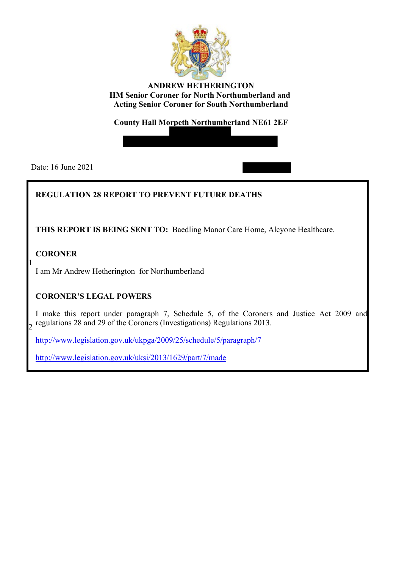

**ANDREW HETHERINGTON HM Senior Coroner for North Northumberland and Acting Senior Coroner for South Northumberland** 

**County Hall Morpeth Northumberland NE61 2EF** 

Date: 16 June 2021

# **REGULATION 28 REPORT TO PREVENT FUTURE DEATHS**

**THIS REPORT IS BEING SENT TO:** Baedling Manor Care Home, Alcyone Healthcare.

**CORONER** 

1 I am Mr Andrew Hetherington for Northumberland

# **CORONER'S LEGAL POWERS**

I make this report under paragraph 7, Schedule 5, of the Coroners and Justice Act 2009 and  $\frac{1}{2}$  regulations 28 and 29 of the Coroners (Investigations) Regulations 2013.

<http://www.legislation.gov.uk/ukpga/2009/25/schedule/5/paragraph/7>

<http://www.legislation.gov.uk/uksi/2013/1629/part/7/made>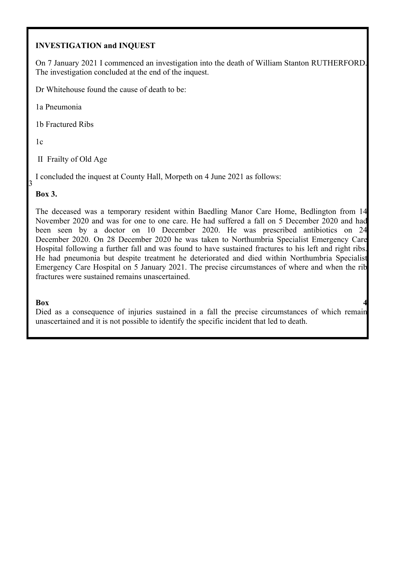# **INVESTIGATION and INQUEST**

On 7 January 2021 I commenced an investigation into the death of William Stanton RUTHERFORD. The investigation concluded at the end of the inquest.

Dr Whitehouse found the cause of death to be:

1a Pneumonia

1b Fractured Ribs

 $1c$ 

II Frailty of Old Age

I concluded the inquest at County Hall, Morpeth on 4 June 2021 as follows:

### **Box 3.**

The deceased was a temporary resident within Baedling Manor Care Home, Bedlington from 14 November 2020 and was for one to one care. He had suffered a fall on 5 December 2020 and had been seen by a doctor on 10 December 2020. He was prescribed antibiotics on 24 December 2020. On 28 December 2020 he was taken to Northumbria Specialist Emergency Care Hospital following a further fall and was found to have sustained fractures to his left and right ribs. He had pneumonia but despite treatment he deteriorated and died within Northumbria Specialist Emergency Care Hospital on 5 January 2021. The precise circumstances of where and when the rib fractures were sustained remains unascertained.

### **Box** 4

Died as a consequence of injuries sustained in a fall the precise circumstances of which remain unascertained and it is not possible to identify the specific incident that led to death.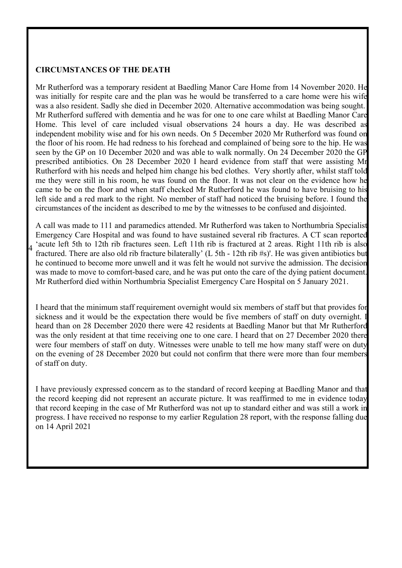#### **CIRCUMSTANCES OF THE DEATH**

 Mr Rutherford suffered with dementia and he was for one to one care whilst at Baedling Manor Care Mr Rutherford was a temporary resident at Baedling Manor Care Home from 14 November 2020. He was initially for respite care and the plan was he would be transferred to a care home were his wife was a also resident. Sadly she died in December 2020. Alternative accommodation was being sought. Home. This level of care included visual observations 24 hours a day. He was described as independent mobility wise and for his own needs. On 5 December 2020 Mr Rutherford was found on the floor of his room. He had redness to his forehead and complained of being sore to the hip. He was seen by the GP on 10 December 2020 and was able to walk normally. On 24 December 2020 the GP prescribed antibiotics. On 28 December 2020 I heard evidence from staff that were assisting Mr Rutherford with his needs and helped him change his bed clothes. Very shortly after, whilst staff told me they were still in his room, he was found on the floor. It was not clear on the evidence how he came to be on the floor and when staff checked Mr Rutherford he was found to have bruising to his left side and a red mark to the right. No member of staff had noticed the bruising before. I found the circumstances of the incident as described to me by the witnesses to be confused and disjointed.

'acute left 5th to 12th rib fractures seen. Left 11th rib is fractured at 2 areas. Right 11th rib is also A call was made to 111 and paramedics attended. Mr Rutherford was taken to Northumbria Specialist Emergency Care Hospital and was found to have sustained several rib fractures. A CT scan reported fractured. There are also old rib fracture bilaterally' (L 5th - 12th rib #s)'. He was given antibiotics but he continued to become more unwell and it was felt he would not survive the admission. The decision was made to move to comfort-based care, and he was put onto the care of the dying patient document. Mr Rutherford died within Northumbria Specialist Emergency Care Hospital on 5 January 2021.

 were four members of staff on duty. Witnesses were unable to tell me how many staff were on duty on the evening of 28 December 2020 but could not confirm that there were more than four members I heard that the minimum staff requirement overnight would six members of staff but that provides for sickness and it would be the expectation there would be five members of staff on duty overnight. I heard than on 28 December 2020 there were 42 residents at Baedling Manor but that Mr Rutherford was the only resident at that time receiving one to one care. I heard that on 27 December 2020 there of staff on duty.

I have previously expressed concern as to the standard of record keeping at Baedling Manor and that the record keeping did not represent an accurate picture. It was reaffirmed to me in evidence today that record keeping in the case of Mr Rutherford was not up to standard either and was still a work in progress. I have received no response to my earlier Regulation 28 report, with the response falling due on 14 April 2021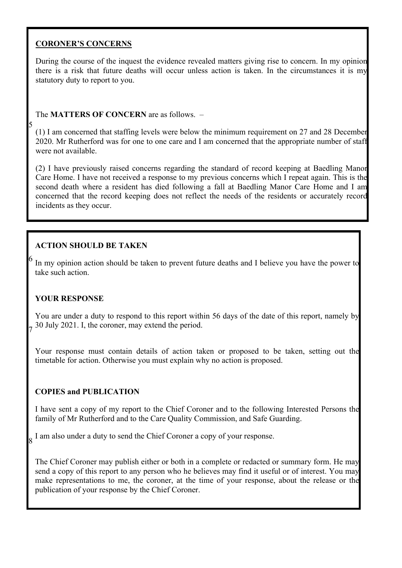## **CORONER'S CONCERNS**

5

During the course of the inquest the evidence revealed matters giving rise to concern. In my opinion there is a risk that future deaths will occur unless action is taken. In the circumstances it is my statutory duty to report to you.

## The **MATTERS OF CONCERN** are as follows. –

 (1) I am concerned that staffing levels were below the minimum requirement on 27 and 28 December 2020. Mr Rutherford was for one to one care and I am concerned that the appropriate number of staff were not available.

 Care Home. I have not received a response to my previous concerns which I repeat again. This is the (2) I have previously raised concerns regarding the standard of record keeping at Baedling Manor second death where a resident has died following a fall at Baedling Manor Care Home and I am concerned that the record keeping does not reflect the needs of the residents or accurately record incidents as they occur.

# **ACTION SHOULD BE TAKEN**

In my opinion action should be taken to prevent future deaths and I believe you have the power to take such action.

# **YOUR RESPONSE**

You are under a duty to respond to this report within 56 days of the date of this report, namely by 30 July 2021. I, the coroner, may extend the period. 7

Your response must contain details of action taken or proposed to be taken, setting out the timetable for action. Otherwise you must explain why no action is proposed.

# **COPIES and PUBLICATION**

 I have sent a copy of my report to the Chief Coroner and to the following Interested Persons the family of Mr Rutherford and to the Care Quality Commission, and Safe Guarding.

 $\frac{1}{8}$  I am also under a duty to send the Chief Coroner a copy of your response.

The Chief Coroner may publish either or both in a complete or redacted or summary form. He may send a copy of this report to any person who he believes may find it useful or of interest. You may make representations to me, the coroner, at the time of your response, about the release or the publication of your response by the Chief Coroner.